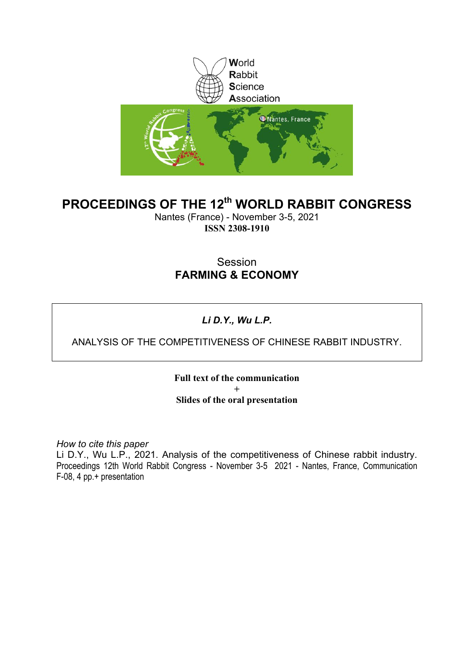

#### **PROCEEDINGS OF THE 12th WORLD RABBIT CONGRESS**

Nantes (France) - November 3-5, 2021 **ISSN 2308-1910**

#### Session **FARMING & ECONOMY**

#### *Li D.Y., Wu L.P.*

#### ANALYSIS OF THE COMPETITIVENESS OF CHINESE RABBIT INDUSTRY.

**Full text of the communication + Slides of the oral presentation**

*How to cite this paper*

Li D.Y., Wu L.P., 2021. Analysis of the competitiveness of Chinese rabbit industry. Proceedings 12th World Rabbit Congress - November 3-5 2021 - Nantes, France, Communication F-08, 4 pp.+ presentation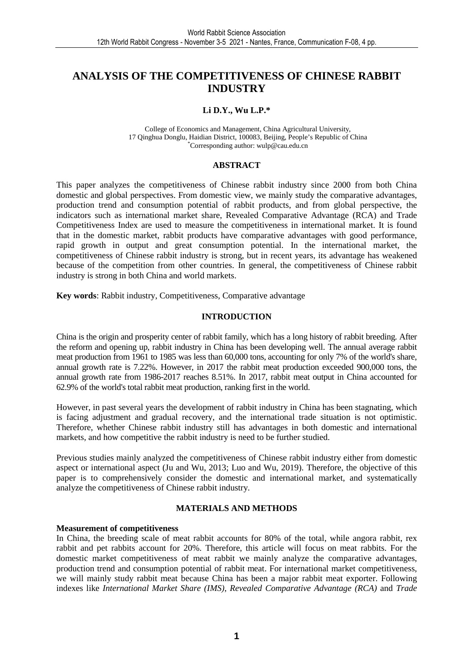#### **ANALYSIS OF THE COMPETITIVENESS OF CHINESE RABBIT INDUSTRY**

#### **Li D.Y., Wu L.P.\***

College of Economics and Management, China Agricultural University, 17 Qinghua Donglu, Haidian District, 100083, Beijing, People's Republic of China \*Corresponding author: wulp@cau.edu.cn

#### **ABSTRACT**

This paper analyzes the competitiveness of Chinese rabbit industry since 2000 from both China domestic and global perspectives. From domestic view, we mainly study the comparative advantages, production trend and consumption potential of rabbit products, and from global perspective, the indicators such as international market share, Revealed Comparative Advantage (RCA) and Trade Competitiveness Index are used to measure the competitiveness in international market. It is found that in the domestic market, rabbit products have comparative advantages with good performance, rapid growth in output and great consumption potential. In the international market, the competitiveness of Chinese rabbit industry is strong, but in recent years, its advantage has weakened because of the competition from other countries. In general, the competitiveness of Chinese rabbit industry is strong in both China and world markets.

**Key words**: Rabbit industry, Competitiveness, Comparative advantage

#### **INTRODUCTION**

China is the origin and prosperity center of rabbit family, which has a long history of rabbit breeding. After the reform and opening up, rabbit industry in China has been developing well. The annual average rabbit meat production from 1961 to 1985 was less than 60,000 tons, accounting for only 7% of the world's share, annual growth rate is 7.22%. However, in 2017 the rabbit meat production exceeded 900,000 tons, the annual growth rate from 1986-2017 reaches 8.51%. In 2017, rabbit meat output in China accounted for 62.9% of the world's total rabbit meat production, ranking first in the world.

However, in past several years the development of rabbit industry in China has been stagnating, which is facing adjustment and gradual recovery, and the international trade situation is not optimistic. Therefore, whether Chinese rabbit industry still has advantages in both domestic and international markets, and how competitive the rabbit industry is need to be further studied.

Previous studies mainly analyzed the competitiveness of Chinese rabbit industry either from domestic aspect or international aspect (Ju and Wu, 2013; Luo and Wu, 2019). Therefore, the objective of this paper is to comprehensively consider the domestic and international market, and systematically analyze the competitiveness of Chinese rabbit industry.

#### **MATERIALS AND METHODS**

#### **Measurement of competitiveness**

In China, the breeding scale of meat rabbit accounts for 80% of the total, while angora rabbit, rex rabbit and pet rabbits account for 20%. Therefore, this article will focus on meat rabbits. For the domestic market competitiveness of meat rabbit we mainly analyze the comparative advantages, production trend and consumption potential of rabbit meat. For international market competitiveness, we will mainly study rabbit meat because China has been a major rabbit meat exporter. Following indexes like *International Market Share (IMS)*, *Revealed Comparative Advantage (RCA)* and *Trade*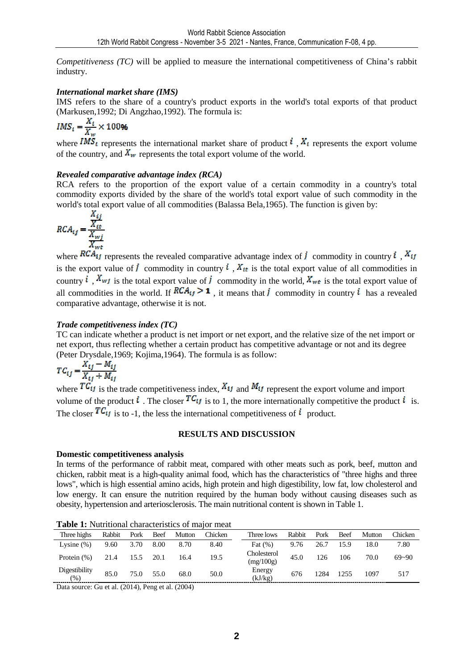*Competitiveness (TC)* will be applied to measure the international competitiveness of China's rabbit industry.

#### *International market share (IMS)*

IMS refers to the share of a country's product exports in the world's total exports of that product (Markusen,1992; Di Angzhao,1992). The formula is:<br> $IMS_i = \frac{X_i}{X_{\cdots}} \times 100\%$ 

where  $\overline{MS_i}$  represents the international market share of product  $\overline{i}$ ,  $\overline{X_i}$  represents the export volume of the country, and  $X_w$  represents the total export volume of the world.

#### *Revealed comparative advantage index (RCA)*

RCA refers to the proportion of the export value of a certain commodity in a country's total commodity exports divided by the share of the world's total export value of such commodity in the world's total export value of all commodities (Balassa Bela,1965). The function is given by:

$$
RCA_{ij} = \frac{\frac{X_{ij}}{X_{wf}}}{\frac{X_{wf}}{X_{wt}}}
$$

where  $RCA_{ij}$  represents the revealed comparative advantage index of *i* commodity in country *i*,  $X_{ij}$ is the export value of  $\vec{l}$  commodity in country  $\vec{l}$ ,  $\vec{l}$ ,  $\vec{l}$  is the total export value of all commodities in country  $i$ .  $X_{wf}$  is the total export value of  $j$  commodity in the world,  $X_{wt}$  is the total export value of all commodities in the world. If  $RCA_{ij} > 1$ , it means that *i* commodity in country *i* has a revealed comparative advantage, otherwise it is not.

#### *Trade competitiveness index (TC)*

TC can indicate whether a product is net import or net export, and the relative size of the net import or net export, thus reflecting whether a certain product has competitive advantage or not and its degree (Peter Drysdale,1969; Kojima,1964). The formula is as follow:

$$
TC_{ij} = \frac{X_{ij} - M_{ij}}{X_{ij} + M_{ij}}
$$

where  $T\overline{C_{ij}}$  is the trade competitiveness index,  $X_{ij}$  and  $M_{ij}$  represent the export volume and import volume of the product  $\mathbf{i}$ . The closer  $T\mathcal{C}_{ij}$  is to 1, the more internationally competitive the product  $\mathbf{i}$  is. The closer  $TC_{ij}$  is to -1, the less the international competitiveness of  $i$  product.

#### **RESULTS AND DISCUSSION**

#### **Domestic competitiveness analysis**

In terms of the performance of rabbit meat, compared with other meats such as pork, beef, mutton and chicken, rabbit meat is a high-quality animal food, which has the characteristics of "three highs and three lows", which is high essential amino acids, high protein and high digestibility, low fat, low cholesterol and low energy. It can ensure the nutrition required by the human body without causing diseases such as obesity, hypertension and arteriosclerosis. The main nutritional content is shown in Table 1.

| $-$ , $-$ , $-$ , $-$ , $-$ , $-$ , $-$ , $-$ , $-$ , $-$ , $-$ , $-$ , $-$ , $-$ , $-$ , $-$ , $-$ , $-$ , $-$ , $-$ , $-$ , $-$ , $-$ , $-$ , $-$ , $-$ , $-$ , $-$ , $-$ , $-$ , $-$ , $-$ , $-$ , $-$ , $-$ , $-$ , $-$ , |        |      |      |        |         |                          |        |      |      |        |                |
|-------------------------------------------------------------------------------------------------------------------------------------------------------------------------------------------------------------------------------|--------|------|------|--------|---------|--------------------------|--------|------|------|--------|----------------|
| Three highs                                                                                                                                                                                                                   | Rabbit | Pork | Beef | Mutton | Chicken | Three lows               | Rabbit | Pork | Beef | Mutton | <b>Thicken</b> |
| Lysine $(\%)$                                                                                                                                                                                                                 | 9.60   | 3.70 | 8.00 | 8.70   | 8.40    | Fat $(\%)$               | 9.76   | 26.7 | 15.9 | 18.0   | 7.80           |
| Protein $(\%)$                                                                                                                                                                                                                | 21.4   | 15.5 | 20.1 | 16.4   | 19.5    | Cholesterol<br>(mg/100g) | 45.0   | 126  | 106  | 70.0   | $69 - 90$      |
| Digestibility<br>$(\%)$                                                                                                                                                                                                       | 85.0   | 75.0 | 55.0 | 68.0   | 50.0    | Energy<br>(kJ/kg)        | 676    | 1284 | 1255 | 1097   | 517            |

**Table 1:** Nutritional characteristics of major meat

Data source: Gu et al. (2014), Peng et al. (2004)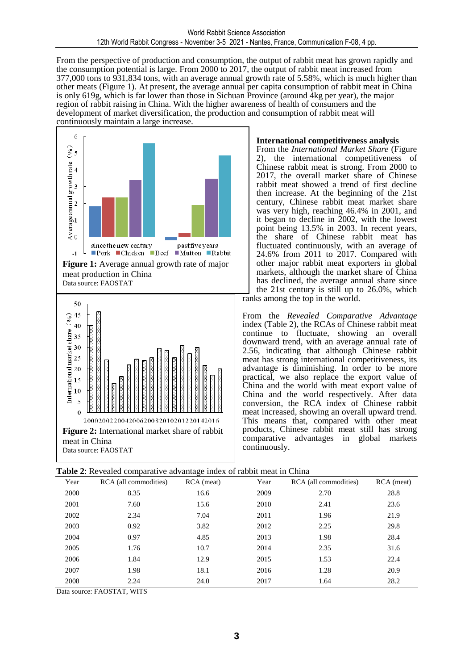From the perspective of production and consumption, the output of rabbit meat has grown rapidly and the consumption potential is large. From 2000 to 2017, the output of rabbit meat increased from 377,000 tons to 931,834 tons, with an average annual growth rate of 5.58%, which is much higher than other meats (Figure 1). At present, the average annual per capita consumption of rabbit meat in China is only 619g, which is far lower than those in Sichuan Province (around 4kg per year), the major region of rabbit raising in China. With the higher awareness of health of consumers and the development of market diversification, the production and consumption of rabbit meat will continuously maintain a large increase.



#### **International competitiveness analysis**

From the *International Market Share* (Figure 2), the international competitiveness of Chinese rabbit meat is strong. From 2000 to 2017, the overall market share of Chinese rabbit meat showed a trend of first decline then increase. At the beginning of the 21st century, Chinese rabbit meat market share was very high, reaching 46.4% in 2001, and it began to decline in 2002, with the lowest point being 13.5% in 2003. In recent years, the share of Chinese rabbit meat has fluctuated continuously, with an average of 24.6% from 2011 to 2017. Compared with other major rabbit meat exporters in global markets, although the market share of China has declined, the average annual share since the 21st century is still up to 26.0%, which

ranks among the top in the world.

From the *Revealed Comparative Advantage*  index (Table 2), the RCAs of Chinese rabbit meat continue to fluctuate, showing an overall downward trend, with an average annual rate of 2.56, indicating that although Chinese rabbit meat has strong international competitiveness, its advantage is diminishing. In order to be more practical, we also replace the export value of China and the world with meat export value of China and the world respectively. After data conversion, the RCA index of Chinese rabbit meat increased, showing an overall upward trend. This means that, compared with other meat products, Chinese rabbit meat still has strong comparative advantages in global markets continuously.

|      | <b>Tuble 2.</b> Revealed comparative advantage much of rabolt meat in China |              |      |                       |            |
|------|-----------------------------------------------------------------------------|--------------|------|-----------------------|------------|
| Year | RCA (all commodities)                                                       | $RCA$ (meat) | Year | RCA (all commodities) | RCA (meat) |
| 2000 | 8.35                                                                        | 16.6         | 2009 | 2.70                  | 28.8       |
| 2001 | 7.60                                                                        | 15.6         | 2010 | 2.41                  | 23.6       |
| 2002 | 2.34                                                                        | 7.04         | 2011 | 1.96                  | 21.9       |
| 2003 | 0.92                                                                        | 3.82         | 2012 | 2.25                  | 29.8       |
| 2004 | 0.97                                                                        | 4.85         | 2013 | 1.98                  | 28.4       |
| 2005 | 1.76                                                                        | 10.7         | 2014 | 2.35                  | 31.6       |
| 2006 | 1.84                                                                        | 12.9         | 2015 | 1.53                  | 22.4       |
| 2007 | 1.98                                                                        | 18.1         | 2016 | 1.28                  | 20.9       |
| 2008 | 2.24                                                                        | 24.0         | 2017 | 1.64                  | 28.2       |

| Table 2: Revealed comparative advantage index of rabbit meat in China |
|-----------------------------------------------------------------------|
|-----------------------------------------------------------------------|

Data source: FAOSTAT, WITS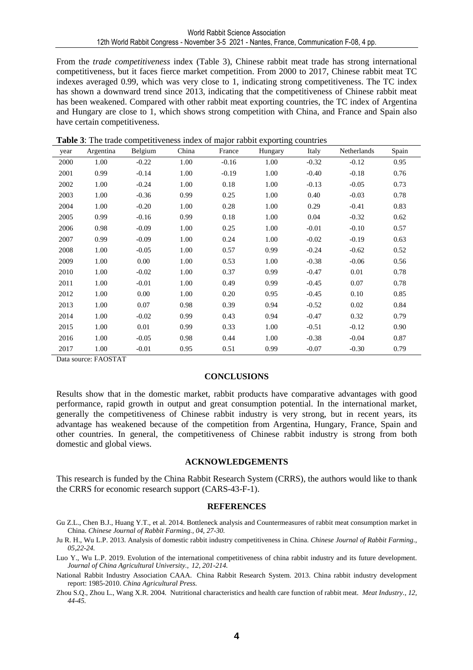From the *trade competitiveness* index (Table 3), Chinese rabbit meat trade has strong international competitiveness, but it faces fierce market competition. From 2000 to 2017, Chinese rabbit meat TC indexes averaged 0.99, which was very close to 1, indicating strong competitiveness. The TC index has shown a downward trend since 2013, indicating that the competitiveness of Chinese rabbit meat has been weakened. Compared with other rabbit meat exporting countries, the TC index of Argentina and Hungary are close to 1, which shows strong competition with China, and France and Spain also have certain competitiveness.

| year | Argentina | Belgium | China | France  | Hungary | Italy   | Netherlands | Spain |
|------|-----------|---------|-------|---------|---------|---------|-------------|-------|
| 2000 | 1.00      | $-0.22$ | 1.00  | $-0.16$ | 1.00    | $-0.32$ | $-0.12$     | 0.95  |
| 2001 | 0.99      | $-0.14$ | 1.00  | $-0.19$ | 1.00    | $-0.40$ | $-0.18$     | 0.76  |
| 2002 | 1.00      | $-0.24$ | 1.00  | 0.18    | 1.00    | $-0.13$ | $-0.05$     | 0.73  |
| 2003 | 1.00      | $-0.36$ | 0.99  | 0.25    | 1.00    | 0.40    | $-0.03$     | 0.78  |
| 2004 | 1.00      | $-0.20$ | 1.00  | 0.28    | 1.00    | 0.29    | $-0.41$     | 0.83  |
| 2005 | 0.99      | $-0.16$ | 0.99  | 0.18    | 1.00    | 0.04    | $-0.32$     | 0.62  |
| 2006 | 0.98      | $-0.09$ | 1.00  | 0.25    | 1.00    | $-0.01$ | $-0.10$     | 0.57  |
| 2007 | 0.99      | $-0.09$ | 1.00  | 0.24    | 1.00    | $-0.02$ | $-0.19$     | 0.63  |
| 2008 | 1.00      | $-0.05$ | 1.00  | 0.57    | 0.99    | $-0.24$ | $-0.62$     | 0.52  |
| 2009 | 1.00      | 0.00    | 1.00  | 0.53    | 1.00    | $-0.38$ | $-0.06$     | 0.56  |
| 2010 | 1.00      | $-0.02$ | 1.00  | 0.37    | 0.99    | $-0.47$ | 0.01        | 0.78  |
| 2011 | 1.00      | $-0.01$ | 1.00  | 0.49    | 0.99    | $-0.45$ | 0.07        | 0.78  |
| 2012 | 1.00      | 0.00    | 1.00  | 0.20    | 0.95    | $-0.45$ | 0.10        | 0.85  |
| 2013 | 1.00      | 0.07    | 0.98  | 0.39    | 0.94    | $-0.52$ | 0.02        | 0.84  |
| 2014 | 1.00      | $-0.02$ | 0.99  | 0.43    | 0.94    | $-0.47$ | 0.32        | 0.79  |
| 2015 | 1.00      | 0.01    | 0.99  | 0.33    | 1.00    | $-0.51$ | $-0.12$     | 0.90  |
| 2016 | 1.00      | $-0.05$ | 0.98  | 0.44    | 1.00    | $-0.38$ | $-0.04$     | 0.87  |
| 2017 | 1.00      | $-0.01$ | 0.95  | 0.51    | 0.99    | $-0.07$ | $-0.30$     | 0.79  |

**Table 3**: The trade competitiveness index of major rabbit exporting countries

Data source: FAOSTAT

#### **CONCLUSIONS**

Results show that in the domestic market, rabbit products have comparative advantages with good performance, rapid growth in output and great consumption potential. In the international market, generally the competitiveness of Chinese rabbit industry is very strong, but in recent years, its advantage has weakened because of the competition from Argentina, Hungary, France, Spain and other countries. In general, the competitiveness of Chinese rabbit industry is strong from both domestic and global views.

#### **ACKNOWLEDGEMENTS**

This research is funded by the China Rabbit Research System (CRRS), the authors would like to thank the CRRS for economic research support (CARS-43-F-1).

#### **REFERENCES**

Gu Z.L., Chen B.J., Huang Y.T., et al. 2014. Bottleneck analysis and Countermeasures of rabbit meat consumption market in China. *Chinese Journal of Rabbit Farming., 04, 27-30.*

Ju R. H., Wu L.P. 2013. Analysis of domestic rabbit industry competitiveness in China. *Chinese Journal of Rabbit Farming., 05,22-24.* 

Luo Y., Wu L.P. 2019. Evolution of the international competitiveness of china rabbit industry and its future development. *Journal of China Agricultural University., 12, 201-214.*

National Rabbit Industry Association CAAA. China Rabbit Research System. 2013. China rabbit industry development report: 1985-2010. *China Agricultural Press.*

Zhou S.Q., Zhou L., Wang X.R. 2004. Nutritional characteristics and health care function of rabbit meat. *Meat Industry., 12, 44-45.*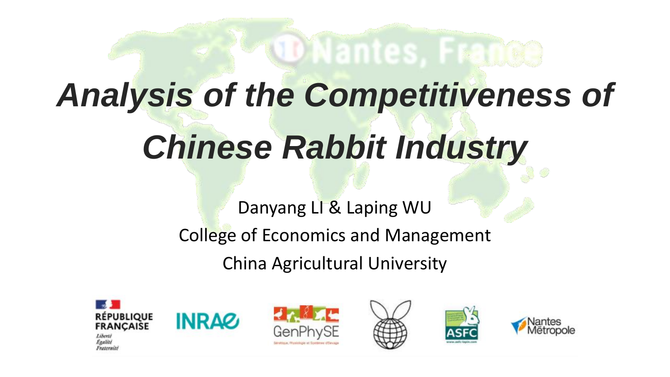# *Analysis of the Competitiveness of Chinese Rabbit Industry*

**Whantes. Fran** 

Danyang LI & Laping WU College of Economics and Management

China Agricultural University



**figalité** Fraternite









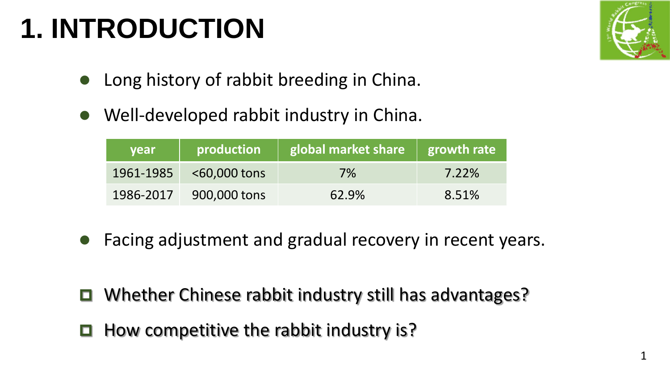## **1. INTRODUCTION**



- ⚫ Long history of rabbit breeding in China.
- Well-developed rabbit industry in China.

| <b>vear</b> | production                 | global market share | growth rate |
|-------------|----------------------------|---------------------|-------------|
|             | $1961 - 1985$ <60,000 tons | $7\%$               | 7.22%       |
| 1986-2017   | 900,000 tons               | 62.9%               | 8.51%       |

- ⚫ Facing adjustment and gradual recovery in recent years.
- $\Box$  Whether Chinese rabbit industry still has advantages?
- $\blacksquare$  How competitive the rabbit industry is?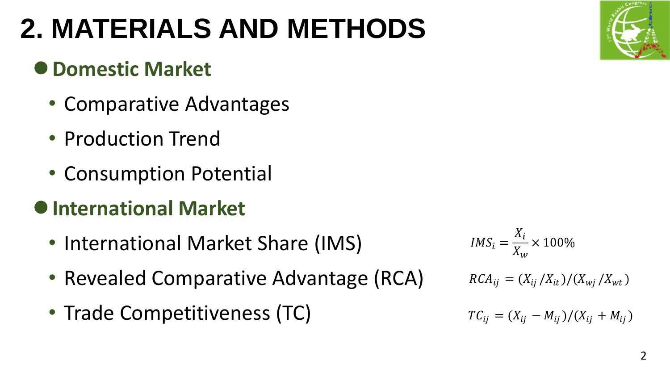## **2. MATERIALS AND METHODS**

## ⚫**Domestic Market**

- Comparative Advantages
- Production Trend
- Consumption Potential
- ⚫**International Market**
	- International Market Share (IMS)
	- Revealed Comparative Advantage (RCA)
	- Trade Competitiveness (TC)

 $RCA_{ij} = (X_{ij}/X_{it})/(X_{wj}/X_{wt})$  $TC_{ij} = (X_{ij} - M_{ij})/(X_{ij} + M_{ij})$ 

 $IMS_i = \frac{X_i}{X_{i}} \times 100\%$ 

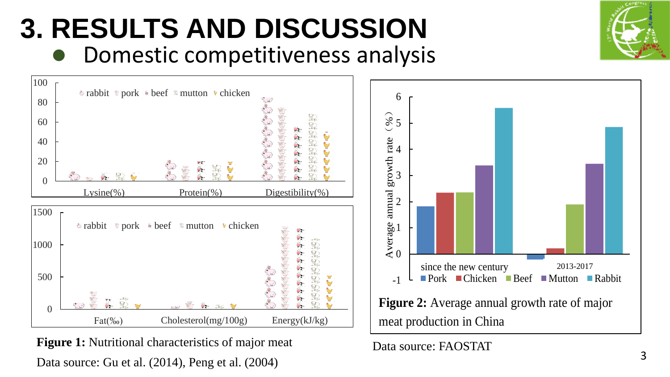## **3. RESULTS AND DISCUSSION** ⚫ Domestic competitiveness analysis



**Figure 1:** Nutritional characteristics of major meat Data source: Gu et al. (2014), Peng et al. (2004)



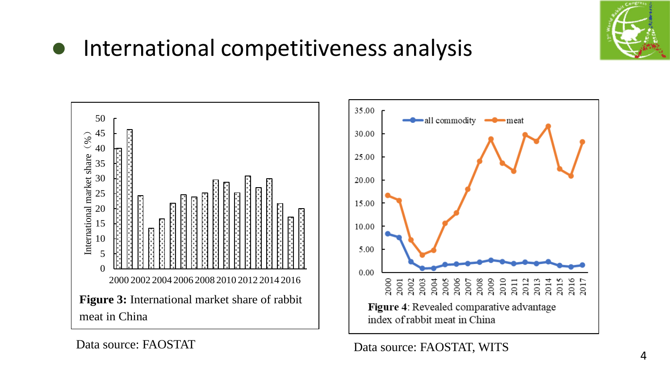

### ● International competitiveness analysis

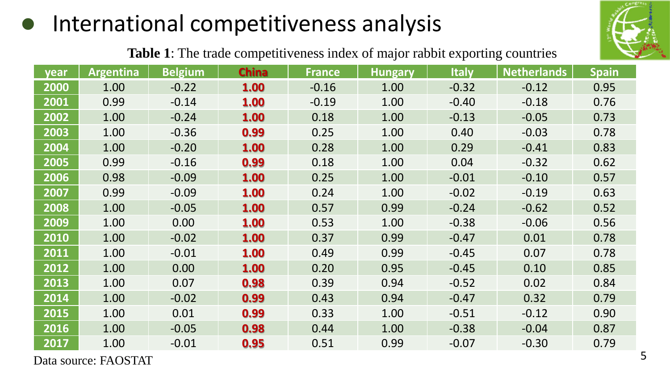## ⚫ International competitiveness analysis



**Table 1**: The trade competitiveness index of major rabbit exporting countries

| year | Argentina | <b>Belgium</b> | <b>China</b> | <b>France</b> | <b>Hungary</b> | <b>Italy</b> | <b>Netherlands</b> | <b>Spain</b> |
|------|-----------|----------------|--------------|---------------|----------------|--------------|--------------------|--------------|
| 2000 | 1.00      | $-0.22$        | 1.00         | $-0.16$       | 1.00           | $-0.32$      | $-0.12$            | 0.95         |
| 2001 | 0.99      | $-0.14$        | 1.00         | $-0.19$       | 1.00           | $-0.40$      | $-0.18$            | 0.76         |
| 2002 | 1.00      | $-0.24$        | 1.00         | 0.18          | 1.00           | $-0.13$      | $-0.05$            | 0.73         |
| 2003 | 1.00      | $-0.36$        | 0.99         | 0.25          | 1.00           | 0.40         | $-0.03$            | 0.78         |
| 2004 | 1.00      | $-0.20$        | 1.00         | 0.28          | 1.00           | 0.29         | $-0.41$            | 0.83         |
| 2005 | 0.99      | $-0.16$        | 0.99         | 0.18          | 1.00           | 0.04         | $-0.32$            | 0.62         |
| 2006 | 0.98      | $-0.09$        | 1.00         | 0.25          | 1.00           | $-0.01$      | $-0.10$            | 0.57         |
| 2007 | 0.99      | $-0.09$        | 1.00         | 0.24          | 1.00           | $-0.02$      | $-0.19$            | 0.63         |
| 2008 | 1.00      | $-0.05$        | 1.00         | 0.57          | 0.99           | $-0.24$      | $-0.62$            | 0.52         |
| 2009 | 1.00      | 0.00           | 1.00         | 0.53          | 1.00           | $-0.38$      | $-0.06$            | 0.56         |
| 2010 | 1.00      | $-0.02$        | 1.00         | 0.37          | 0.99           | $-0.47$      | 0.01               | 0.78         |
| 2011 | 1.00      | $-0.01$        | 1.00         | 0.49          | 0.99           | $-0.45$      | 0.07               | 0.78         |
| 2012 | 1.00      | 0.00           | 1.00         | 0.20          | 0.95           | $-0.45$      | 0.10               | 0.85         |
| 2013 | 1.00      | 0.07           | 0.98         | 0.39          | 0.94           | $-0.52$      | 0.02               | 0.84         |
| 2014 | 1.00      | $-0.02$        | 0.99         | 0.43          | 0.94           | $-0.47$      | 0.32               | 0.79         |
| 2015 | 1.00      | 0.01           | 0.99         | 0.33          | 1.00           | $-0.51$      | $-0.12$            | 0.90         |
| 2016 | 1.00      | $-0.05$        | 0.98         | 0.44          | 1.00           | $-0.38$      | $-0.04$            | 0.87         |
| 2017 | 1.00      | $-0.01$        | 0.95         | 0.51          | 0.99           | $-0.07$      | $-0.30$            | 0.79         |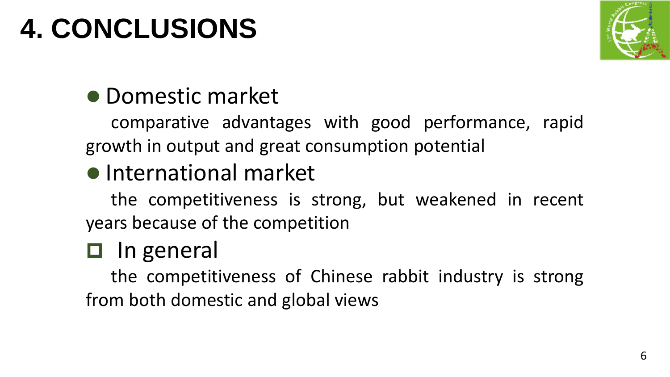## **4. CONCLUSIONS**



## ⚫ Domestic market

comparative advantages with good performance, rapid growth in output and great consumption potential

### ⚫ International market

the competitiveness is strong, but weakened in recent years because of the competition

## $\Box$  In general

the competitiveness of Chinese rabbit industry is strong from both domestic and global views